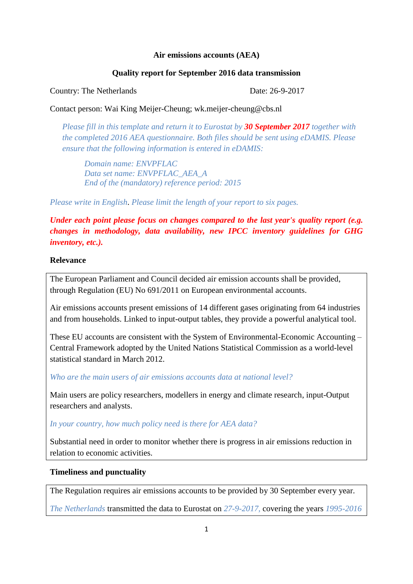## **Air emissions accounts (AEA)**

## **Quality report for September 2016 data transmission**

Country: The Netherlands Date: 26-9-2017

Contact person: Wai King Meijer-Cheung; wk.meijer-cheung@cbs.nl

*Please fill in this template and return it to Eurostat by 30 September 2017 together with the completed 2016 AEA questionnaire. Both files should be sent using eDAMIS. Please ensure that the following information is entered in eDAMIS:*

*Domain name: ENVPFLAC Data set name: ENVPFLAC\_AEA\_A End of the (mandatory) reference period: 2015*

*Please write in English*. *Please limit the length of your report to six pages.*

*Under each point please focus on changes compared to the last year's quality report (e.g. changes in methodology, data availability, new IPCC inventory guidelines for GHG inventory, etc.).* 

## **Relevance**

The European Parliament and Council decided air emission accounts shall be provided, through Regulation (EU) No 691/2011 on European environmental accounts.

Air emissions accounts present emissions of 14 different gases originating from 64 industries and from households. Linked to input-output tables, they provide a powerful analytical tool.

These EU accounts are consistent with the System of Environmental-Economic Accounting – Central Framework adopted by the United Nations Statistical Commission as a world-level statistical standard in March 2012.

*Who are the main users of air emissions accounts data at national level?* 

Main users are policy researchers, modellers in energy and climate research, input-Output researchers and analysts.

#### *In your country, how much policy need is there for AEA data?*

Substantial need in order to monitor whether there is progress in air emissions reduction in relation to economic activities.

## **Timeliness and punctuality**

The Regulation requires air emissions accounts to be provided by 30 September every year.

*The Netherlands* transmitted the data to Eurostat on *27-9-2017,* covering the years *1995-2016*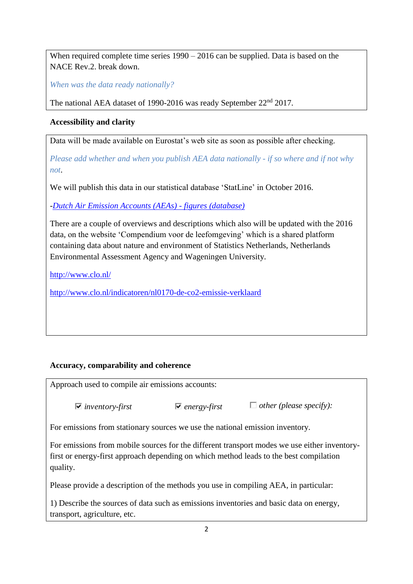When required complete time series  $1990 - 2016$  can be supplied. Data is based on the NACE Rev.2. break down.

*When was the data ready nationally?*

The national AEA dataset of 1990-2016 was ready September 22<sup>nd</sup> 2017.

## **Accessibility and clarity**

Data will be made available on Eurostat's web site as soon as possible after checking.

*Please add whether and when you publish AEA data nationally - if so where and if not why not*.

We will publish this data in our statistical database 'StatLine' in October 2016.

*[-Dutch Air Emission Accounts \(AEAs\) -](http://statline.cbs.nl/Statweb/selection/?DM=SLEN&PA=83300ENG&LA=EN&VW=T) figures (database)*

There are a couple of overviews and descriptions which also will be updated with the 2016 data, on the website 'Compendium voor de leefomgeving' which is a shared platform containing data about nature and environment of Statistics Netherlands, Netherlands Environmental Assessment Agency and Wageningen University.

<http://www.clo.nl/>

<http://www.clo.nl/indicatoren/nl0170-de-co2-emissie-verklaard>

# **Accuracy, comparability and coherence**

Approach used to compile air emissions accounts:

*inventory-first energy-first other (please specify):*

For emissions from stationary sources we use the national emission inventory.

For emissions from mobile sources for the different transport modes we use either inventoryfirst or energy-first approach depending on which method leads to the best compilation quality.

Please provide a description of the methods you use in compiling AEA, in particular:

1) Describe the sources of data such as emissions inventories and basic data on energy, transport, agriculture, etc.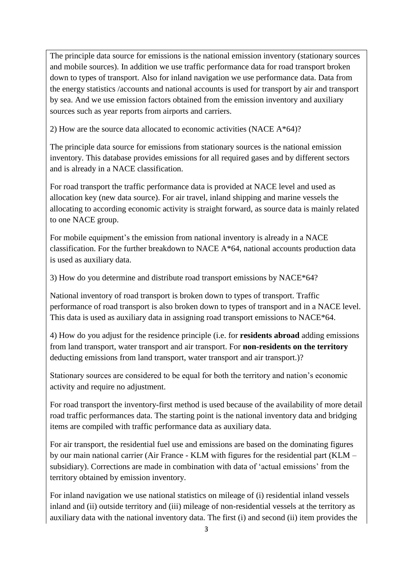The principle data source for emissions is the national emission inventory (stationary sources and mobile sources). In addition we use traffic performance data for road transport broken down to types of transport. Also for inland navigation we use performance data. Data from the energy statistics /accounts and national accounts is used for transport by air and transport by sea. And we use emission factors obtained from the emission inventory and auxiliary sources such as year reports from airports and carriers.

2) How are the source data allocated to economic activities (NACE A\*64)?

The principle data source for emissions from stationary sources is the national emission inventory. This database provides emissions for all required gases and by different sectors and is already in a NACE classification.

For road transport the traffic performance data is provided at NACE level and used as allocation key (new data source). For air travel, inland shipping and marine vessels the allocating to according economic activity is straight forward, as source data is mainly related to one NACE group.

For mobile equipment's the emission from national inventory is already in a NACE classification. For the further breakdown to NACE A\*64, national accounts production data is used as auxiliary data.

3) How do you determine and distribute road transport emissions by NACE\*64?

National inventory of road transport is broken down to types of transport. Traffic performance of road transport is also broken down to types of transport and in a NACE level. This data is used as auxiliary data in assigning road transport emissions to NACE\*64.

4) How do you adjust for the residence principle (i.e. for **residents abroad** adding emissions from land transport, water transport and air transport. For **non-residents on the territory**  deducting emissions from land transport, water transport and air transport.)?

Stationary sources are considered to be equal for both the territory and nation's economic activity and require no adjustment.

For road transport the inventory-first method is used because of the availability of more detail road traffic performances data. The starting point is the national inventory data and bridging items are compiled with traffic performance data as auxiliary data.

For air transport, the residential fuel use and emissions are based on the dominating figures by our main national carrier (Air France - KLM with figures for the residential part (KLM – subsidiary). Corrections are made in combination with data of 'actual emissions' from the territory obtained by emission inventory.

For inland navigation we use national statistics on mileage of (i) residential inland vessels inland and (ii) outside territory and (iii) mileage of non-residential vessels at the territory as auxiliary data with the national inventory data. The first (i) and second (ii) item provides the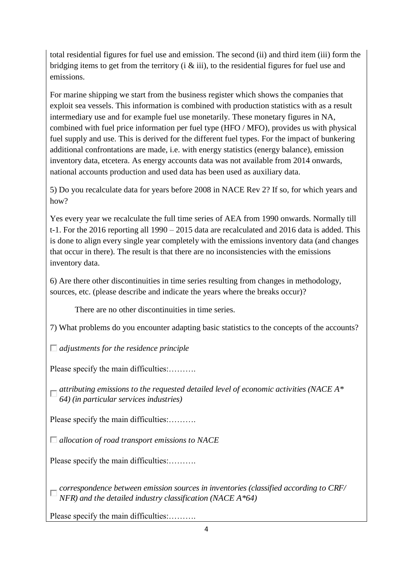total residential figures for fuel use and emission. The second (ii) and third item (iii) form the bridging items to get from the territory (i  $\&$  iii), to the residential figures for fuel use and emissions.

For marine shipping we start from the business register which shows the companies that exploit sea vessels. This information is combined with production statistics with as a result intermediary use and for example fuel use monetarily. These monetary figures in NA, combined with fuel price information per fuel type (HFO / MFO), provides us with physical fuel supply and use. This is derived for the different fuel types. For the impact of bunkering additional confrontations are made, i.e. with energy statistics (energy balance), emission inventory data, etcetera. As energy accounts data was not available from 2014 onwards, national accounts production and used data has been used as auxiliary data.

5) Do you recalculate data for years before 2008 in NACE Rev 2? If so, for which years and how?

Yes every year we recalculate the full time series of AEA from 1990 onwards. Normally till t-1. For the 2016 reporting all 1990 – 2015 data are recalculated and 2016 data is added. This is done to align every single year completely with the emissions inventory data (and changes that occur in there). The result is that there are no inconsistencies with the emissions inventory data.

6) Are there other discontinuities in time series resulting from changes in methodology, sources, etc. (please describe and indicate the years where the breaks occur)?

There are no other discontinuities in time series.

7) What problems do you encounter adapting basic statistics to the concepts of the accounts?

*adjustments for the residence principle*

Please specify the main difficulties:..........

*attributing emissions to the requested detailed level of economic activities (NACE A\* 64) (in particular services industries)*

Please specify the main difficulties:..........

*allocation of road transport emissions to NACE* 

Please specify the main difficulties:.........

*correspondence between emission sources in inventories (classified according to CRF/ NFR) and the detailed industry classification (NACE A\*64)*

Please specify the main difficulties:..........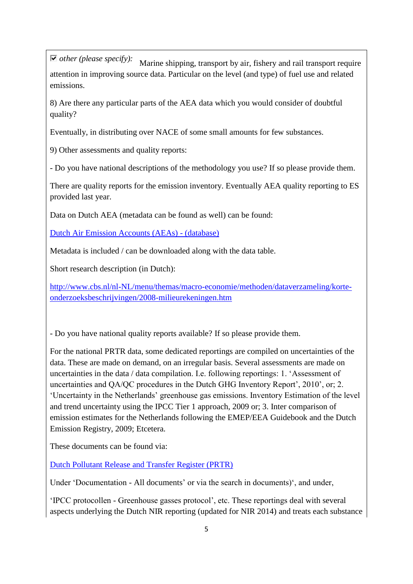*other (please specify):* Marine shipping, transport by air, fishery and rail transport require attention in improving source data. Particular on the level (and type) of fuel use and related emissions.

8) Are there any particular parts of the AEA data which you would consider of doubtful quality?

Eventually, in distributing over NACE of some small amounts for few substances.

9) Other assessments and quality reports:

- Do you have national descriptions of the methodology you use? If so please provide them.

There are quality reports for the emission inventory. Eventually AEA quality reporting to ES provided last year.

Data on Dutch AEA (metadata can be found as well) can be found:

[Dutch Air Emission Accounts \(AEAs\) -](http://statline.cbs.nl/Statweb/publication/?DM=SLEN&PA=81395ENG&D1=a&D2=0,3,59-60,62,65,67,69,l&D3=0,10,20-22&LA=EN&VW=T) (database)

Metadata is included / can be downloaded along with the data table.

Short research description (in Dutch):

[http://www.cbs.nl/nl-NL/menu/themas/macro-economie/methoden/dataverzameling/korte](http://www.cbs.nl/nl-NL/menu/themas/macro-economie/methoden/dataverzameling/korte-onderzoeksbeschrijvingen/2008-milieurekeningen.htm)[onderzoeksbeschrijvingen/2008-milieurekeningen.htm](http://www.cbs.nl/nl-NL/menu/themas/macro-economie/methoden/dataverzameling/korte-onderzoeksbeschrijvingen/2008-milieurekeningen.htm)

- Do you have national quality reports available? If so please provide them.

For the national PRTR data, some dedicated reportings are compiled on uncertainties of the data. These are made on demand, on an irregular basis. Several assessments are made on uncertainties in the data / data compilation. I.e. following reportings: 1. 'Assessment of uncertainties and QA/QC procedures in the Dutch GHG Inventory Report', 2010', or; 2. 'Uncertainty in the Netherlands' greenhouse gas emissions. Inventory Estimation of the level and trend uncertainty using the IPCC Tier 1 approach, 2009 or; 3. Inter comparison of emission estimates for the Netherlands following the EMEP/EEA Guidebook and the Dutch Emission Registry, 2009; Etcetera.

These documents can be found via:

[Dutch Pollutant Release and Transfer Register \(PRTR\)](http://www.emissieregistratie.nl/erpubliek/misc/information.en.aspx)

Under 'Documentation - All documents' or via the search in documents)', and under,

'IPCC protocollen - Greenhouse gasses protocol', etc. These reportings deal with several aspects underlying the Dutch NIR reporting (updated for NIR 2014) and treats each substance